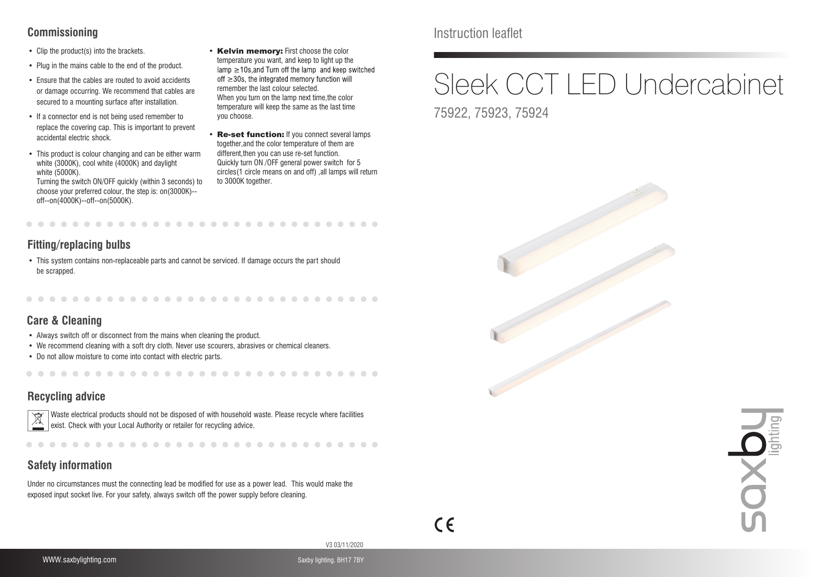### **Commissioning**

- Clip the product(s) into the brackets.
- Plug in the mains cable to the end of the product.
- Ensure that the cables are routed to avoid accidents or damage occurring. We recommend that cables are secured to a mounting surface after installation.
- If a connector end is not being used remember to replace the covering cap. This is important to prevent accidental electric shock.
- This product is colour changing and can be either warm white (3000K), cool white (4000K) and daylight white (5000K). Turning the switch ON/OFF quickly (within 3 seconds) to

choose your preferred colour, the step is: on(3000K)- off--on(4000K)--off--on(5000K).

- Kelvin memory: First choose the color temperature you want, and keep to light up the  $lamp \geq 10s$ , and Turn off the lamp and keep switched off  $\geq$  30s, the integrated memory function will remember the last colour selected. When you turn on the lamp next time,the color temperature will keep the same as the last time you choose.
- Re-set function: If you connect several lamps together,and the color temperature of them are different,then you can use re-set function. Quickly turn ON /OFF general power switch for 5 circles(1 circle means on and off) ,all lamps will return to 3000K together.

### **Fitting/replacing bulbs**

• This system contains non-replaceable parts and cannot be serviced. If damage occurs the part should be scrapped.

# **Care & Cleaning**

- Always switch off or disconnect from the mains when cleaning the product.
- We recommend cleaning with a soft dry cloth. Never use scourers, abrasives or chemical cleaners.

. . . . . . . . . . . . .

• Do not allow moisture to come into contact with electric parts.

### **Recycling advice**



. . . . . . . . . . . .

...........................

### **Safety information**

Under no circumstances must the connecting lead be modified for use as a power lead. This would make the exposed input socket live. For your safety, always switch off the power supply before cleaning.

# Instruction leaflet

# Sleek CCT LED Undercabinet

75922, 75923, 75924





 $\epsilon$ 

V3 03/11/2020